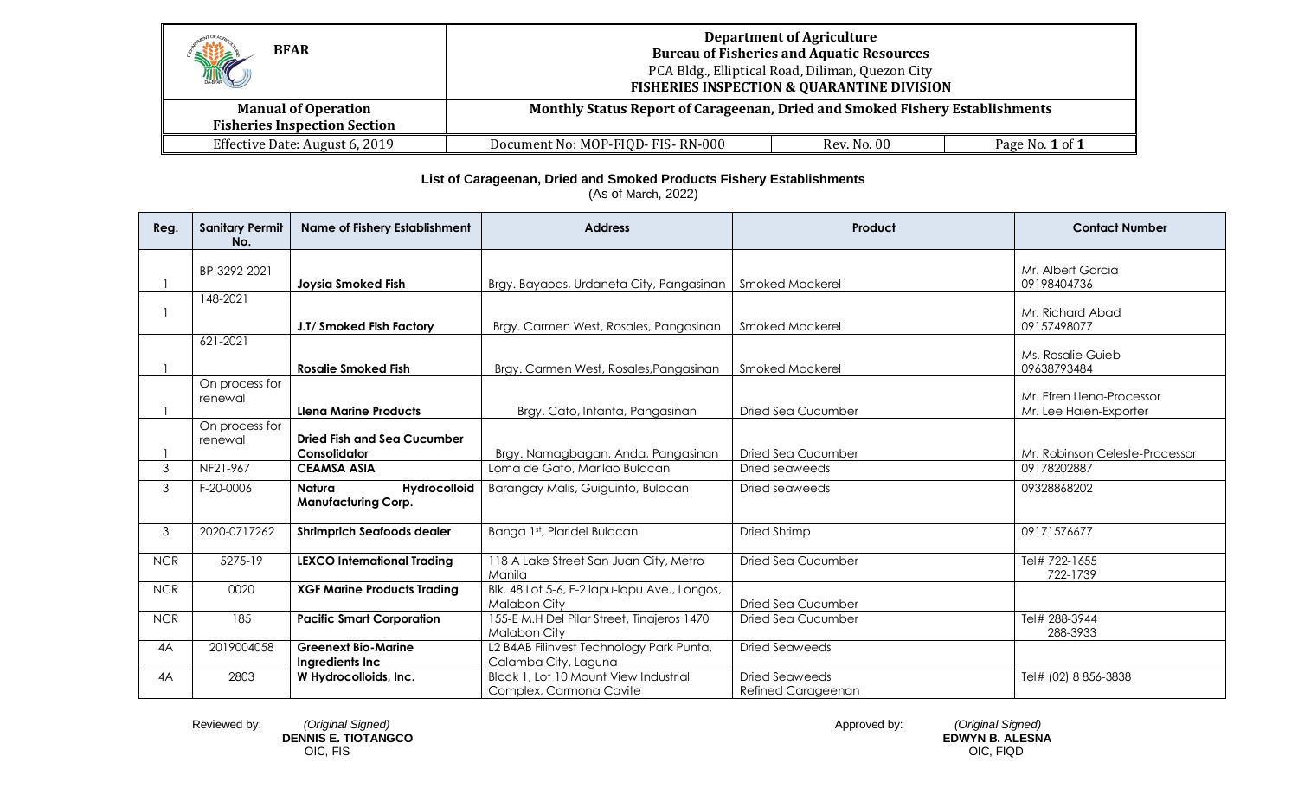| Hill<br><b>BFAR</b>                                               | <b>Department of Agriculture</b><br><b>Bureau of Fisheries and Aquatic Resources</b><br>PCA Bldg., Elliptical Road, Diliman, Quezon City<br><b>FISHERIES INSPECTION &amp; QUARANTINE DIVISION</b> |             |                 |
|-------------------------------------------------------------------|---------------------------------------------------------------------------------------------------------------------------------------------------------------------------------------------------|-------------|-----------------|
| <b>Manual of Operation</b><br><b>Fisheries Inspection Section</b> | Monthly Status Report of Carageenan, Dried and Smoked Fishery Establishments                                                                                                                      |             |                 |
| Effective Date: August 6, 2019                                    | Document No: MOP-FIQD- FIS-RN-000                                                                                                                                                                 | Rev. No. 00 | Page No. 1 of 1 |

## **List of Carageenan, Dried and Smoked Products Fishery Establishments**

(As of March, 2022)

| Reg.       | <b>Sanitary Permit</b><br>No. | <b>Name of Fishery Establishment</b>        | <b>Address</b>                                             | Product                   | <b>Contact Number</b>            |
|------------|-------------------------------|---------------------------------------------|------------------------------------------------------------|---------------------------|----------------------------------|
|            | BP-3292-2021                  |                                             |                                                            |                           | Mr. Albert Garcia                |
|            |                               | <b>Joysia Smoked Fish</b>                   | Brgy. Bayaoas, Urdaneta City, Pangasinan                   | Smoked Mackerel           | 09198404736                      |
|            | 148-2021                      |                                             |                                                            |                           |                                  |
|            |                               | J.T/ Smoked Fish Factory                    | Brgy. Carmen West, Rosales, Pangasinan                     | <b>Smoked Mackerel</b>    | Mr. Richard Abad<br>09157498077  |
|            | 621-2021                      |                                             |                                                            |                           |                                  |
|            |                               | <b>Rosalie Smoked Fish</b>                  | Brgy, Carmen West, Rosales, Pangasinan                     | <b>Smoked Mackerel</b>    | Ms. Rosalie Guieb<br>09638793484 |
|            | On process for                |                                             |                                                            |                           |                                  |
|            | renewal                       |                                             |                                                            |                           | Mr. Efren Llena-Processor        |
|            |                               | <b>Llena Marine Products</b>                | Brgy. Cato, Infanta, Pangasinan                            | <b>Dried Sea Cucumber</b> | Mr. Lee Haien-Exporter           |
|            | On process for                |                                             |                                                            |                           |                                  |
|            | renewal                       | Dried Fish and Sea Cucumber<br>Consolidator | Brgy. Namagbagan, Anda, Pangasinan                         | Dried Sea Cucumber        | Mr. Robinson Celeste-Processor   |
| 3          | NF21-967                      | <b>CEAMSA ASIA</b>                          | Loma de Gato, Marilao Bulacan                              | Dried seaweeds            | 09178202887                      |
| 3          | F-20-0006                     | Natura<br><b>Hydrocolloid</b>               | Barangay Malis, Guiguinto, Bulacan                         | Dried seaweeds            | 09328868202                      |
|            |                               | <b>Manufacturing Corp.</b>                  |                                                            |                           |                                  |
| 3          | 2020-0717262                  | <b>Shrimprich Seafoods dealer</b>           | Banga 1st, Plaridel Bulacan                                | Dried Shrimp              | 09171576677                      |
| <b>NCR</b> | 5275-19                       | <b>LEXCO International Trading</b>          | 118 A Lake Street San Juan City, Metro<br>Manila           | Dried Sea Cucumber        | Tel# 722-1655<br>722-1739        |
| <b>NCR</b> | 0020                          | <b>XGF Marine Products Trading</b>          | Blk. 48 Lot 5-6, E-2 lapu-lapu Ave., Longos,               |                           |                                  |
|            |                               |                                             | Malabon City                                               | Dried Sea Cucumber        |                                  |
| <b>NCR</b> | 185                           | <b>Pacific Smart Corporation</b>            | 155-E M.H Del Pilar Street, Tinajeros 1470<br>Malabon City | <b>Dried Sea Cucumber</b> | Tel# 288-3944<br>288-3933        |
| 4A         | 2019004058                    | <b>Greenext Bio-Marine</b>                  | L2 B4AB Filinvest Technology Park Punta,                   | <b>Dried Seaweeds</b>     |                                  |
|            |                               | Ingredients Inc                             | Calamba City, Laguna                                       |                           |                                  |
| 4A         | 2803                          | W Hydrocolloids, Inc.                       | Block 1, Lot 10 Mount View Industrial                      | Dried Seaweeds            | Tel# (02) 8 856-3838             |
|            |                               |                                             | Complex, Carmona Cavite                                    | Refined Carageenan        |                                  |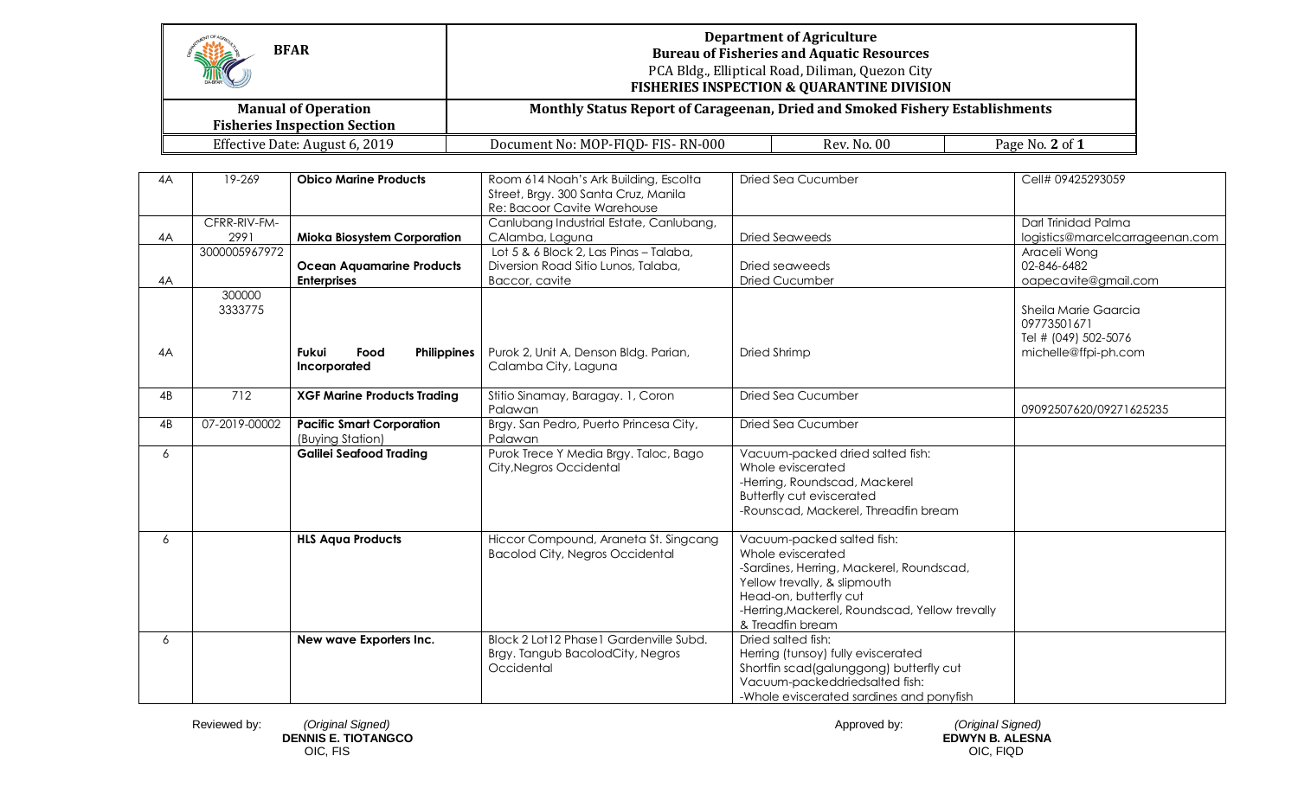| <b>BFAR</b> |                      |                                                                   |                                                                                                              | <b>Department of Agriculture</b><br><b>Bureau of Fisheries and Aquatic Resources</b><br>PCA Bldg., Elliptical Road, Diliman, Quezon City<br><b>FISHERIES INSPECTION &amp; QUARANTINE DIVISION</b>                           |                                                                                     |
|-------------|----------------------|-------------------------------------------------------------------|--------------------------------------------------------------------------------------------------------------|-----------------------------------------------------------------------------------------------------------------------------------------------------------------------------------------------------------------------------|-------------------------------------------------------------------------------------|
|             |                      | <b>Manual of Operation</b><br><b>Fisheries Inspection Section</b> | Monthly Status Report of Carageenan, Dried and Smoked Fishery Establishments                                 |                                                                                                                                                                                                                             |                                                                                     |
|             |                      | Effective Date: August 6, 2019                                    | Document No: MOP-FIQD- FIS-RN-000                                                                            | Rev. No. 00                                                                                                                                                                                                                 | Page No. 2 of 1                                                                     |
| 4A          | 19-269               | <b>Obico Marine Products</b>                                      | Room 614 Noah's Ark Building, Escolta<br>Street, Brgy. 300 Santa Cruz, Manila<br>Re: Bacoor Cavite Warehouse | <b>Dried Sea Cucumber</b>                                                                                                                                                                                                   | Cell# 09425293059                                                                   |
| 4A          | CFRR-RIV-FM-<br>2991 | <b>Mioka Biosystem Corporation</b>                                | Canlubang Industrial Estate, Canlubang,<br>CAlamba, Laguna                                                   | <b>Dried Seaweeds</b>                                                                                                                                                                                                       | Darl Trinidad Palma<br>logistics@marcelcarrageenan.com                              |
| 4A          | 3000005967972        | <b>Ocean Aquamarine Products</b><br><b>Enterprises</b>            | Lot 5 & 6 Block 2, Las Pinas - Talaba,<br>Diversion Road Sitio Lunos, Talaba,<br>Baccor, cavite              | Dried seaweeds<br><b>Dried Cucumber</b>                                                                                                                                                                                     | Araceli Wong<br>02-846-6482<br>oapecavite@gmail.com                                 |
| 4A          | 300000<br>3333775    | <b>Fukui</b><br>Food<br>Philippines<br>Incorporated               | Purok 2, Unit A, Denson Bldg. Parian,<br>Calamba City, Laguna                                                | Dried Shrimp                                                                                                                                                                                                                | Sheila Marie Gaarcia<br>09773501671<br>Tel # (049) 502-5076<br>michelle@ffpi-ph.com |
| 4B          | 712                  | <b>XGF Marine Products Trading</b>                                | Stitio Sinamay, Baragay. 1, Coron<br>Palawan                                                                 | <b>Dried Sea Cucumber</b>                                                                                                                                                                                                   | 09092507620/09271625235                                                             |
| 4B          | 07-2019-00002        | <b>Pacific Smart Corporation</b><br>(Buying Station)              | Brgy. San Pedro, Puerto Princesa City,<br>Palawan                                                            | Dried Sea Cucumber                                                                                                                                                                                                          |                                                                                     |
| 6           |                      | <b>Galilei Seafood Trading</b>                                    | Purok Trece Y Media Brgy. Taloc, Bago<br>City, Negros Occidental                                             | Vacuum-packed dried salted fish:<br>Whole eviscerated<br>-Herring, Roundscad, Mackerel<br><b>Butterfly cut eviscerated</b><br>-Rounscad, Mackerel, Threadfin bream                                                          |                                                                                     |
| 6           |                      | <b>HLS Aqua Products</b>                                          | Hiccor Compound, Araneta St. Singcang<br><b>Bacolod City, Negros Occidental</b>                              | Vacuum-packed salted fish:<br>Whole eviscerated<br>-Sardines, Herring, Mackerel, Roundscad,<br>Yellow trevally, & slipmouth<br>Head-on, butterfly cut<br>-Herring, Mackerel, Roundscad, Yellow trevally<br>& Treadfin bream |                                                                                     |
| 6           |                      | New wave Exporters Inc.                                           | Block 2 Lot 12 Phase 1 Gardenville Subd.<br>Brgy. Tangub BacolodCity, Negros<br>Occidental                   | Dried salted fish:<br>Herring (tunsoy) fully eviscerated<br>Shortfin scad(galunggong) butterfly cut<br>Vacuum-packeddriedsalted fish:                                                                                       |                                                                                     |

 Reviewed by: *(Original Signed)* Approved by: *(Original Signed)*  **DENNIS E. TIOTANGCO EDWYN B. ALESNA**

-Whole eviscerated sardines and ponyfish

OIC, FIS OIC, FIQD